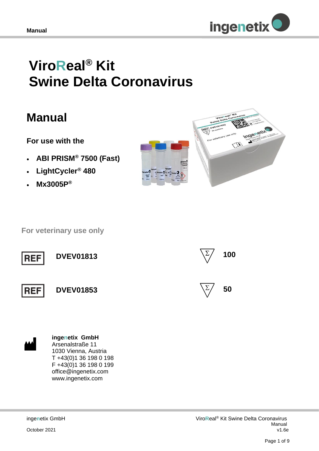

# **ViroReal® Kit Swine Delta Coronavirus**

# **Manual**

**For use with the** 

- **ABI PRISM® 7500 (Fast)**
- **LightCycler® 480**
- **Mx3005P®**





 **For veterinary use only**



**DVEV01813 100** 



**DVEV01853**  $\qquad \qquad \qquad$  50





**ingenetix GmbH** Arsenalstraße 11 1030 Vienna, Austria T +43(0)1 36 198 0 198 F +43(0)1 36 198 0 199 office@ingenetix.com www.ingenetix.com

inge**n**etix GmbH October 2021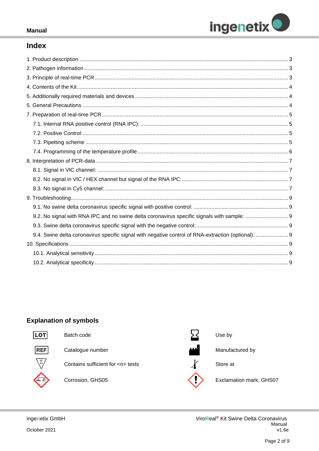

#### **Manual**

## **Index**

| 9.2. No signal with RNA IPC and no swine delta coronavirus specific signals with sample:  9         |  |
|-----------------------------------------------------------------------------------------------------|--|
|                                                                                                     |  |
| 9.4. Swine delta coronavirus specific signal with negative control of RNA-extraction (optional):  9 |  |
|                                                                                                     |  |
|                                                                                                     |  |
|                                                                                                     |  |

### **Explanation of symbols**

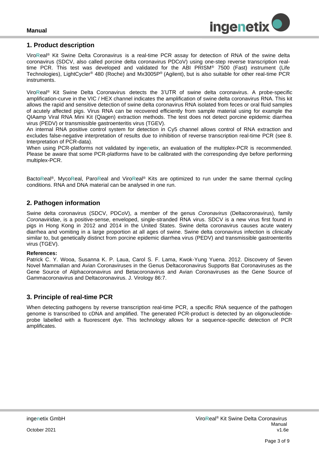

#### <span id="page-2-0"></span>**1. Product description**

Viro**R**eal® Kit Swine Delta Coronavirus is a real-time PCR assay for detection of RNA of the swine delta coronavirus (SDCV, also called porcine delta coronavirus PDCoV) using one-step reverse transcription realtime PCR. This test was developed and validated for the ABI PRISM® 7500 (Fast) instrument (Life Technologies), LightCycler® 480 (Roche) and Mx3005P® (Agilent), but is also suitable for other real-time PCR instruments.

Viro**R**eal® Kit Swine Delta Coronavirus detects the 3'UTR of swine delta coronavirus. A probe-specific amplification-curve in the VIC / HEX channel indicates the amplification of swine delta coronavirus RNA. This kit allows the rapid and sensitive detection of swine delta coronavirus RNA isolated from feces or oral fluid samples of acutely affected pigs. Virus RNA can be recovered efficiently from sample material using for example the QIAamp Viral RNA Mini Kit (Qiagen) extraction methods. The test does not detect porcine epidemic diarrhea virus (PEDV) or transmissible gastroenteritis virus (TGEV).

An internal RNA positive control system for detection in Cy5 channel allows control of RNA extraction and excludes false-negative interpretation of results due to inhibition of reverse transcription real-time PCR (see 8. Interpretation of PCR-data).

When using PCR-platforms not validated by inge**n**etix, an evaluation of the multiplex-PCR is recommended. Please be aware that some PCR-platforms have to be calibrated with the corresponding dye before performing multiplex-PCR.

Bacto**R**eal®, Myco**R**eal, Paro**R**eal and Viro**R**eal® Kits are optimized to run under the same thermal cycling conditions. RNA and DNA material can be analysed in one run.

#### <span id="page-2-1"></span>**2. Pathogen information**

Swine delta coronavirus (SDCV, PDCoV), a member of the genus *Coronavirus* (Deltacoronavirus), family *Coronaviridae*, is a positive-sense, enveloped, single-stranded RNA virus. SDCV is a new virus first found in pigs in Hong Kong in 2012 and 2014 in the United States. Swine delta coronavirus causes acute watery diarrhea and vomiting in a large proportion at all ages of swine. Swine delta coronavirus infection is clinically similar to, but genetically distinct from porcine epidemic diarrhea virus (PEDV) and transmissible gastroenteritis virus (TGEV).

#### **References:**

Patrick C. Y. Wooa, Susanna K. P. Laua, Carol S. F. Lama, Kwok-Yung Yuena. 2012. Discovery of Seven Novel Mammalian and Avian Coronaviruses in the Genus Deltacoronavirus Supports Bat Coronaviruses as the Gene Source of Alphacoronavirus and Betacoronavirus and Avian Coronaviruses as the Gene Source of Gammacoronavirus and Deltacoronavirus. J. Virology 86:7.

#### <span id="page-2-2"></span>**3. Principle of real-time PCR**

When detecting pathogens by reverse transcription real-time PCR, a specific RNA sequence of the pathogen genome is transcribed to cDNA and amplified. The generated PCR-product is detected by an oligonucleotideprobe labelled with a fluorescent dye. This technology allows for a sequence-specific detection of PCR amplificates.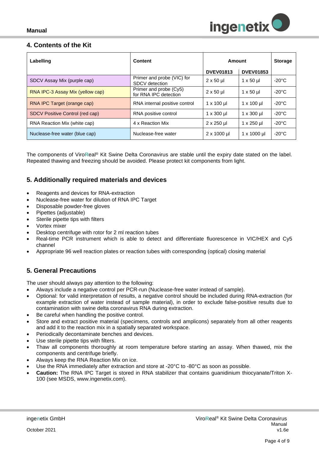

#### <span id="page-3-0"></span>**4. Contents of the Kit**

| Labelling                        | <b>Content</b>                                  | Amount             |                     | <b>Storage</b>  |
|----------------------------------|-------------------------------------------------|--------------------|---------------------|-----------------|
|                                  |                                                 | <b>DVEV01813</b>   | <b>DVEV01853</b>    |                 |
| SDCV Assay Mix (purple cap)      | Primer and probe (VIC) for<br>SDCV detection    | $2 \times 50$ µ    | $1 \times 50 \mu$   | $-20^{\circ}$ C |
| RNA IPC-3 Assay Mix (yellow cap) | Primer and probe (Cy5)<br>for RNA IPC detection | $2 \times 50$ µl   | $1 \times 50$ µ     | $-20^{\circ}$ C |
| RNA IPC Target (orange cap)      | RNA internal positive control                   | $1 \times 100$ µl  | $1 \times 100$ µl   | $-20^{\circ}$ C |
| SDCV Positive Control (red cap)  | RNA positive control                            | $1 \times 300$ µl  | $1 \times 300$ µl   | $-20^{\circ}$ C |
| RNA Reaction Mix (white cap)     | 4 x Reaction Mix                                | $2 \times 250$ µl  | $1 \times 250$ µl   | $-20^{\circ}$ C |
| Nuclease-free water (blue cap)   | Nuclease-free water                             | $2 \times 1000$ µl | $1 \times 1000 \mu$ | $-20^{\circ}$ C |

The components of Viro**R**eal® Kit Swine Delta Coronavirus are stable until the expiry date stated on the label. Repeated thawing and freezing should be avoided. Please protect kit components from light.

#### <span id="page-3-1"></span>**5. Additionally required materials and devices**

- Reagents and devices for RNA-extraction
- Nuclease-free water for dilution of RNA IPC Target
- Disposable powder-free gloves
- Pipettes (adjustable)
- Sterile pipette tips with filters
- Vortex mixer
- Desktop centrifuge with rotor for 2 ml reaction tubes
- Real-time PCR instrument which is able to detect and differentiate fluorescence in VIC/HEX and Cy5 channel
- Appropriate 96 well reaction plates or reaction tubes with corresponding (optical) closing material

#### <span id="page-3-2"></span>**5. General Precautions**

The user should always pay attention to the following:

- Always include a negative control per PCR-run (Nuclease-free water instead of sample).
- Optional: for valid interpretation of results, a negative control should be included during RNA-extraction (for example extraction of water instead of sample material), in order to exclude false-positive results due to contamination with swine delta coronavirus RNA during extraction.
- Be careful when handling the positive control.
- Store and extract positive material (specimens, controls and amplicons) separately from all other reagents and add it to the reaction mix in a spatially separated workspace.
- Periodically decontaminate benches and devices.
- Use sterile pipette tips with filters.
- Thaw all components thoroughly at room temperature before starting an assay. When thawed, mix the components and centrifuge briefly.
- Always keep the RNA Reaction Mix on ice.
- Use the RNA immediately after extraction and store at -20°C to -80°C as soon as possible.
- **Caution:** The RNA IPC Target is stored in RNA stabilizer that contains guanidinium thiocyanate/Triton X-100 (see MSDS, www.ingenetix.com).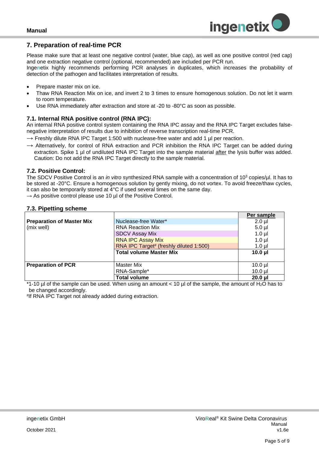

#### <span id="page-4-0"></span>**7. Preparation of real-time PCR**

Please make sure that at least one negative control (water, blue cap), as well as one positive control (red cap) and one extraction negative control (optional, recommended) are included per PCR run.

Inge**n**etix highly recommends performing PCR analyses in duplicates, which increases the probability of detection of the pathogen and facilitates interpretation of results*.*

- Prepare master mix on ice.
- Thaw RNA Reaction Mix on ice, and invert 2 to 3 times to ensure homogenous solution. Do not let it warm to room temperature.
- Use RNA immediately after extraction and store at -20 to -80°C as soon as possible.

#### <span id="page-4-1"></span>**7.1. Internal RNA positive control (RNA IPC):**

An internal RNA positive control system containing the RNA IPC assay and the RNA IPC Target excludes falsenegative interpretation of results due to inhibition of reverse transcription real-time PCR.

 $\rightarrow$  Freshly dilute RNA IPC Target 1:500 with nuclease-free water and add 1 µl per reaction.

 $\rightarrow$  Alternatively, for control of RNA extraction and PCR inhibition the RNA IPC Target can be added during extraction. Spike 1 µl of undiluted RNA IPC Target into the sample material after the lysis buffer was added. Caution: Do not add the RNA IPC Target directly to the sample material.

#### <span id="page-4-2"></span>**7.2. Positive Control:**

The SDCV Positive Control is an *in vitro* synthesized RNA sample with a concentration of 10<sup>3</sup> copies/µl. It has to be stored at -20°C. Ensure a homogenous solution by gently mixing, do not vortex. To avoid freeze/thaw cycles, it can also be temporarily stored at 4°C if used several times on the same day.

 $\rightarrow$  As positive control please use 10 µl of the Positive Control.

#### <span id="page-4-3"></span>**7.3. Pipetting scheme**

|                                  |                                         | Per sample   |
|----------------------------------|-----------------------------------------|--------------|
| <b>Preparation of Master Mix</b> | Nuclease-free Water*                    | $2.0$ $\mu$  |
| (mix well)                       | <b>RNA Reaction Mix</b>                 | $5.0 \mu$    |
|                                  | <b>SDCV Assay Mix</b>                   | $1.0$ µl     |
|                                  | <b>RNA IPC Assay Mix</b>                | $1.0$ $\mu$  |
|                                  | RNA IPC Target# (freshly diluted 1:500) | $1.0$ µl     |
|                                  | <b>Total volume Master Mix</b>          | $10.0$ $\mu$ |
|                                  |                                         |              |
| <b>Preparation of PCR</b>        | <b>Master Mix</b>                       | $10.0$ µl    |
|                                  | RNA-Sample*                             | $10.0$ $\mu$ |
|                                  | <b>Total volume</b>                     | $20.0$ µl    |

\*1-10 µl of the sample can be used. When using an amount  $<$  10 µl of the sample, the amount of H<sub>2</sub>O has to be changed accordingly.

# If RNA IPC Target not already added during extraction.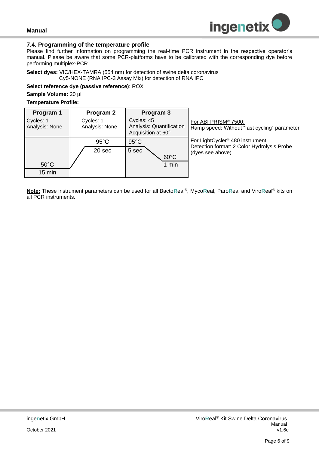

#### <span id="page-5-0"></span>**7.4. Programming of the temperature profile**

Please find further information on programming the real-time PCR instrument in the respective operator's manual. Please be aware that some PCR-platforms have to be calibrated with the corresponding dye before performing multiplex-PCR.

**Select dyes:** VIC/HEX-TAMRA (554 nm) for detection of swine delta coronavirus Cy5-NONE (RNA IPC-3 Assay Mix) for detection of RNA IPC

**Select reference dye (passive reference)**: ROX

**Sample Volume:** 20 µl

#### **Temperature Profile:**

| Program 1<br>Cycles: 1<br>Analysis: None | Program 2<br>Cycles: 1<br>Analysis: None | Program 3<br>Cycles: 45<br>Analysis: Quantification<br>Acquisition at 60° | For ABI PRISM® 7500:<br>Ramp speed: Without "fast cycling" parameter                                           |
|------------------------------------------|------------------------------------------|---------------------------------------------------------------------------|----------------------------------------------------------------------------------------------------------------|
| $50^{\circ}$ C<br>$15 \text{ min}$       | $95^{\circ}$ C<br>20 sec                 | $95^{\circ}$ C<br>5 sec<br>$60^{\circ}$ C<br>1 min                        | For LightCycler <sup>®</sup> 480 instrument:<br>Detection format: 2 Color Hydrolysis Probe<br>(dyes see above) |

**Note:** These instrument parameters can be used for all Bacto**R**eal®, Myco**R**eal, Paro**R**eal and Viro**R**eal® kits on all PCR instruments.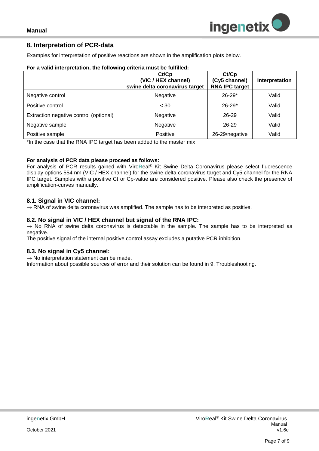#### <span id="page-6-0"></span>**8. Interpretation of PCR-data**

Examples for interpretation of positive reactions are shown in the amplification plots below.

#### **For a valid interpretation, the following criteria must be fulfilled:**

|                                        | Ct/Cp<br>(VIC / HEX channel)<br>swine delta coronavirus target | Ct/Cp<br>(Cy5 channel)<br><b>RNA IPC target</b> | Interpretation |
|----------------------------------------|----------------------------------------------------------------|-------------------------------------------------|----------------|
| Negative control                       | Negative                                                       | $26 - 29*$                                      | Valid          |
| Positive control                       | < 30                                                           | $26 - 29*$                                      | Valid          |
| Extraction negative control (optional) | Negative                                                       | $26 - 29$                                       | Valid          |
| Negative sample                        | Negative                                                       | $26 - 29$                                       | Valid          |
| Positive sample                        | Positive                                                       | 26-29/negative                                  | Valid          |

\*In the case that the RNA IPC target has been added to the master mix

#### **For analysis of PCR data please proceed as follows:**

For analysis of PCR results gained with Viro**R**eal® Kit Swine Delta Coronavirus please select fluorescence display options 554 nm (VIC / HEX channel) for the swine delta coronavirus target and Cy5 channel for the RNA IPC target. Samples with a positive Ct or Cp-value are considered positive. Please also check the presence of amplification-curves manually.

#### <span id="page-6-1"></span>**8.1. Signal in VIC channel:**

 $\rightarrow$  RNA of swine delta coronavirus was amplified. The sample has to be interpreted as positive.

#### <span id="page-6-2"></span>**8.2. No signal in VIC / HEX channel but signal of the RNA IPC:**

 $\rightarrow$  No RNA of swine delta coronavirus is detectable in the sample. The sample has to be interpreted as negative.

The positive signal of the internal positive control assay excludes a putative PCR inhibition.

#### <span id="page-6-3"></span>**8.3. No signal in Cy5 channel:**

 $\rightarrow$  No interpretation statement can be made.

Information about possible sources of error and their solution can be found in 9. Troubleshooting.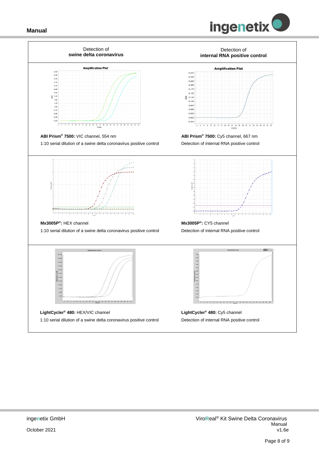**Manual**